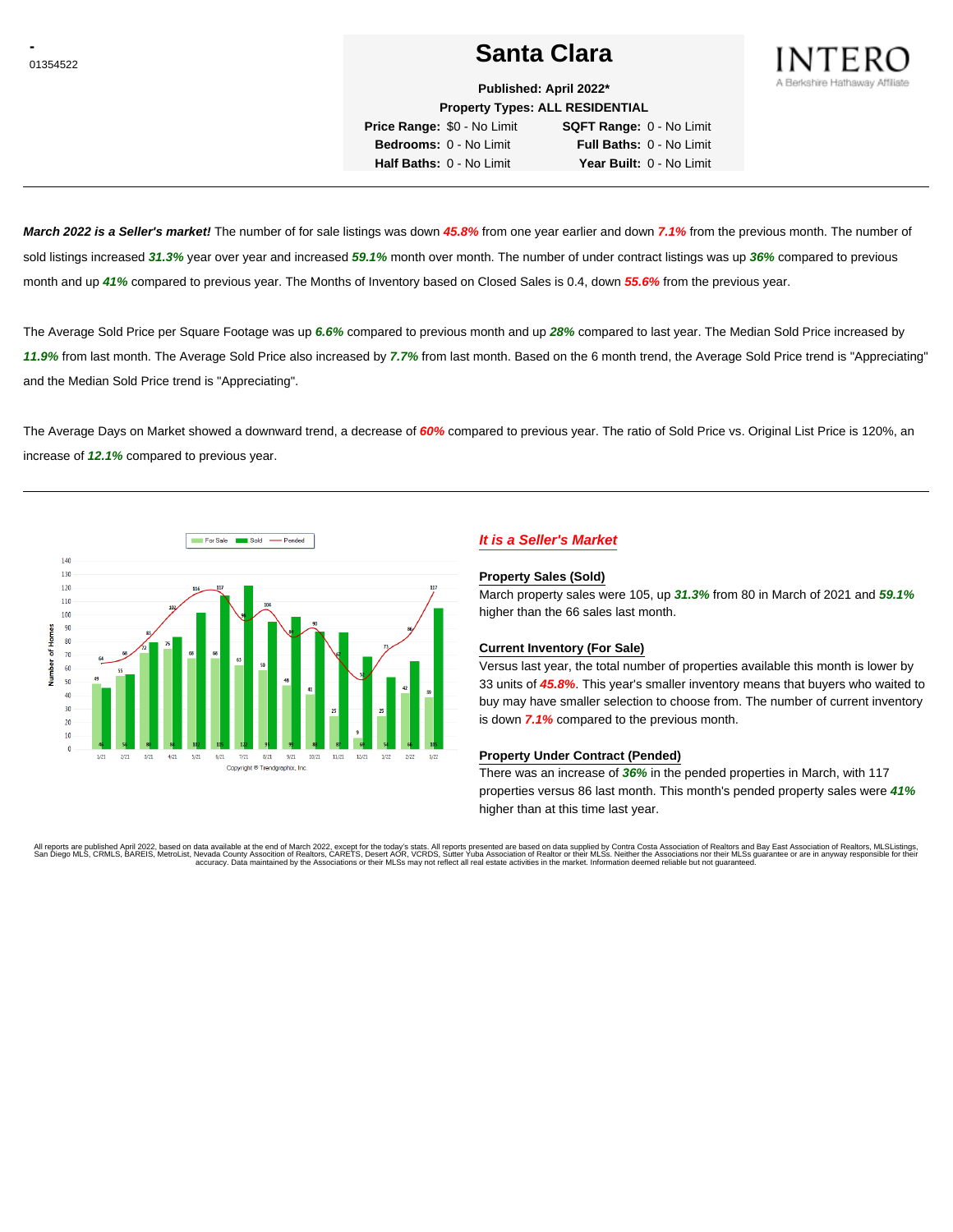# <sup>01354522</sup> **Santa Clara**



**Published: April 2022\***

**Property Types: ALL RESIDENTIAL Price Range:** \$0 - No Limit **SQFT Range:** 0 - No Limit **Bedrooms:** 0 - No Limit **Full Baths:** 0 - No Limit

**Half Baths:** 0 - No Limit **Year Built:** 0 - No Limit

**March 2022 is a Seller's market!** The number of for sale listings was down **45.8%** from one year earlier and down **7.1%** from the previous month. The number of sold listings increased **31.3%** year over year and increased **59.1%** month over month. The number of under contract listings was up **36%** compared to previous month and up **41%** compared to previous year. The Months of Inventory based on Closed Sales is 0.4, down **55.6%** from the previous year.

The Average Sold Price per Square Footage was up **6.6%** compared to previous month and up **28%** compared to last year. The Median Sold Price increased by **11.9%** from last month. The Average Sold Price also increased by **7.7%** from last month. Based on the 6 month trend, the Average Sold Price trend is "Appreciating" and the Median Sold Price trend is "Appreciating".

The Average Days on Market showed a downward trend, a decrease of **60%** compared to previous year. The ratio of Sold Price vs. Original List Price is 120%, an increase of **12.1%** compared to previous year.



# **It is a Seller's Market**

#### **Property Sales (Sold)**

March property sales were 105, up **31.3%** from 80 in March of 2021 and **59.1%** higher than the 66 sales last month.

# **Current Inventory (For Sale)**

Versus last year, the total number of properties available this month is lower by 33 units of **45.8%**. This year's smaller inventory means that buyers who waited to buy may have smaller selection to choose from. The number of current inventory is down **7.1%** compared to the previous month.

## **Property Under Contract (Pended)**

There was an increase of **36%** in the pended properties in March, with 117 properties versus 86 last month. This month's pended property sales were **41%** higher than at this time last year.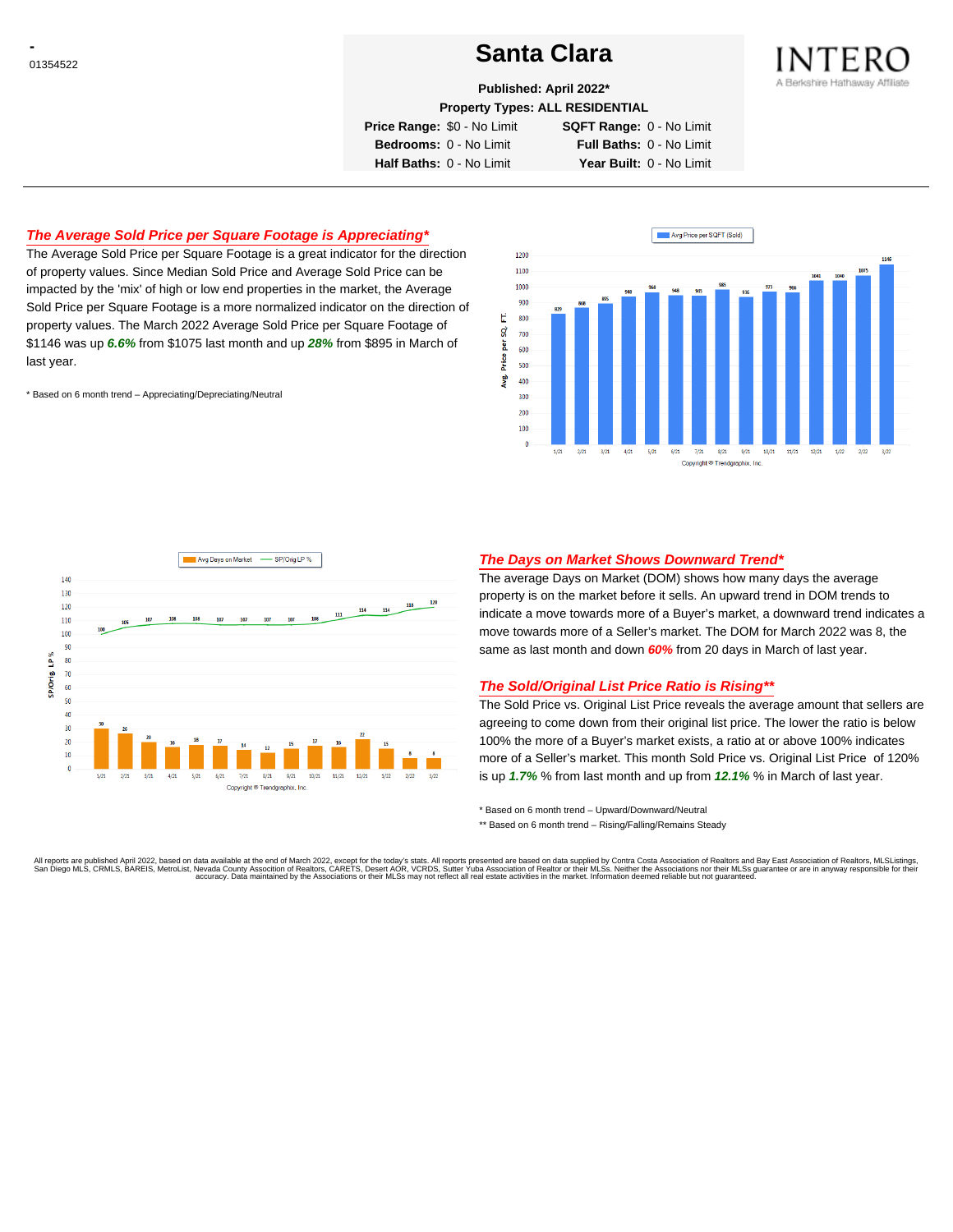# <sup>01354522</sup> **Santa Clara**



**Published: April 2022\***

**Property Types: ALL RESIDENTIAL**

**Price Range:** \$0 - No Limit **SQFT Range:** 0 - No Limit

**Bedrooms:** 0 - No Limit **Full Baths:** 0 - No Limit **Half Baths:** 0 - No Limit **Year Built:** 0 - No Limit

# **The Average Sold Price per Square Footage is Appreciating\***

The Average Sold Price per Square Footage is a great indicator for the direction of property values. Since Median Sold Price and Average Sold Price can be impacted by the 'mix' of high or low end properties in the market, the Average Sold Price per Square Footage is a more normalized indicator on the direction of property values. The March 2022 Average Sold Price per Square Footage of \$1146 was up **6.6%** from \$1075 last month and up **28%** from \$895 in March of last year.

\* Based on 6 month trend – Appreciating/Depreciating/Neutral





# **The Days on Market Shows Downward Trend\***

The average Days on Market (DOM) shows how many days the average property is on the market before it sells. An upward trend in DOM trends to indicate a move towards more of a Buyer's market, a downward trend indicates a move towards more of a Seller's market. The DOM for March 2022 was 8, the same as last month and down **60%** from 20 days in March of last year.

# **The Sold/Original List Price Ratio is Rising\*\***

The Sold Price vs. Original List Price reveals the average amount that sellers are agreeing to come down from their original list price. The lower the ratio is below 100% the more of a Buyer's market exists, a ratio at or above 100% indicates more of a Seller's market. This month Sold Price vs. Original List Price of 120% is up **1.7%** % from last month and up from **12.1%** % in March of last year.

\* Based on 6 month trend – Upward/Downward/Neutral

\*\* Based on 6 month trend - Rising/Falling/Remains Steady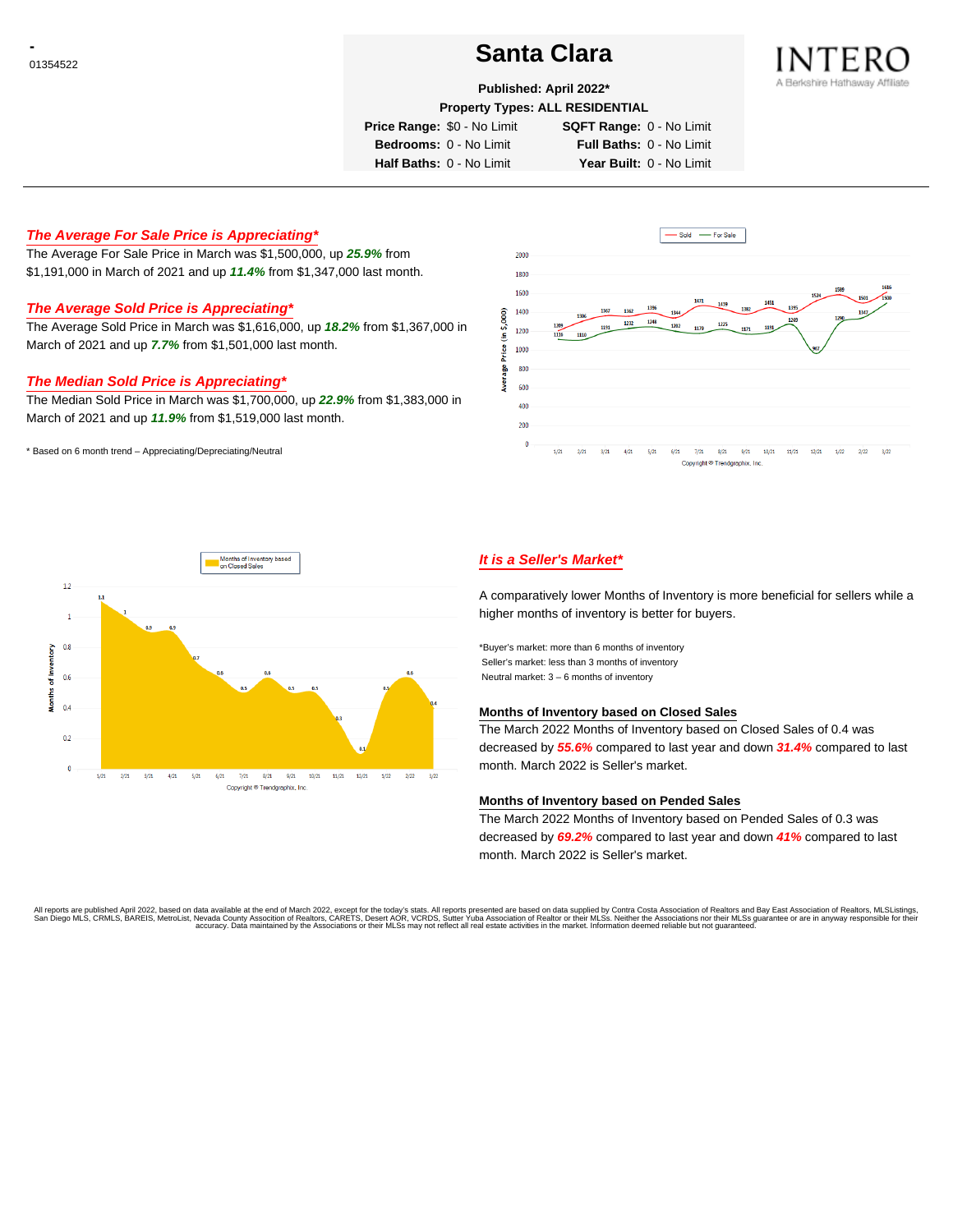# <sup>01354522</sup> **Santa Clara**



## **Published: April 2022\***

**Property Types: ALL RESIDENTIAL**

**Price Range:** \$0 - No Limit **SQFT Range:** 0 - No Limit

**Bedrooms:** 0 - No Limit **Full Baths:** 0 - No Limit **Half Baths:** 0 - No Limit **Year Built:** 0 - No Limit

**The Average For Sale Price is Appreciating\***

The Average For Sale Price in March was \$1,500,000, up **25.9%** from \$1,191,000 in March of 2021 and up **11.4%** from \$1,347,000 last month.

# **The Average Sold Price is Appreciating\***

The Average Sold Price in March was \$1,616,000, up **18.2%** from \$1,367,000 in March of 2021 and up **7.7%** from \$1,501,000 last month.

# **The Median Sold Price is Appreciating\***

The Median Sold Price in March was \$1,700,000, up **22.9%** from \$1,383,000 in March of 2021 and up **11.9%** from \$1,519,000 last month.

\* Based on 6 month trend – Appreciating/Depreciating/Neutral





# **It is a Seller's Market\***

A comparatively lower Months of Inventory is more beneficial for sellers while a higher months of inventory is better for buyers.

\*Buyer's market: more than 6 months of inventory Seller's market: less than 3 months of inventory Neutral market: 3 – 6 months of inventory

## **Months of Inventory based on Closed Sales**

The March 2022 Months of Inventory based on Closed Sales of 0.4 was decreased by **55.6%** compared to last year and down **31.4%** compared to last month. March 2022 is Seller's market.

### **Months of Inventory based on Pended Sales**

The March 2022 Months of Inventory based on Pended Sales of 0.3 was decreased by **69.2%** compared to last year and down **41%** compared to last month. March 2022 is Seller's market.